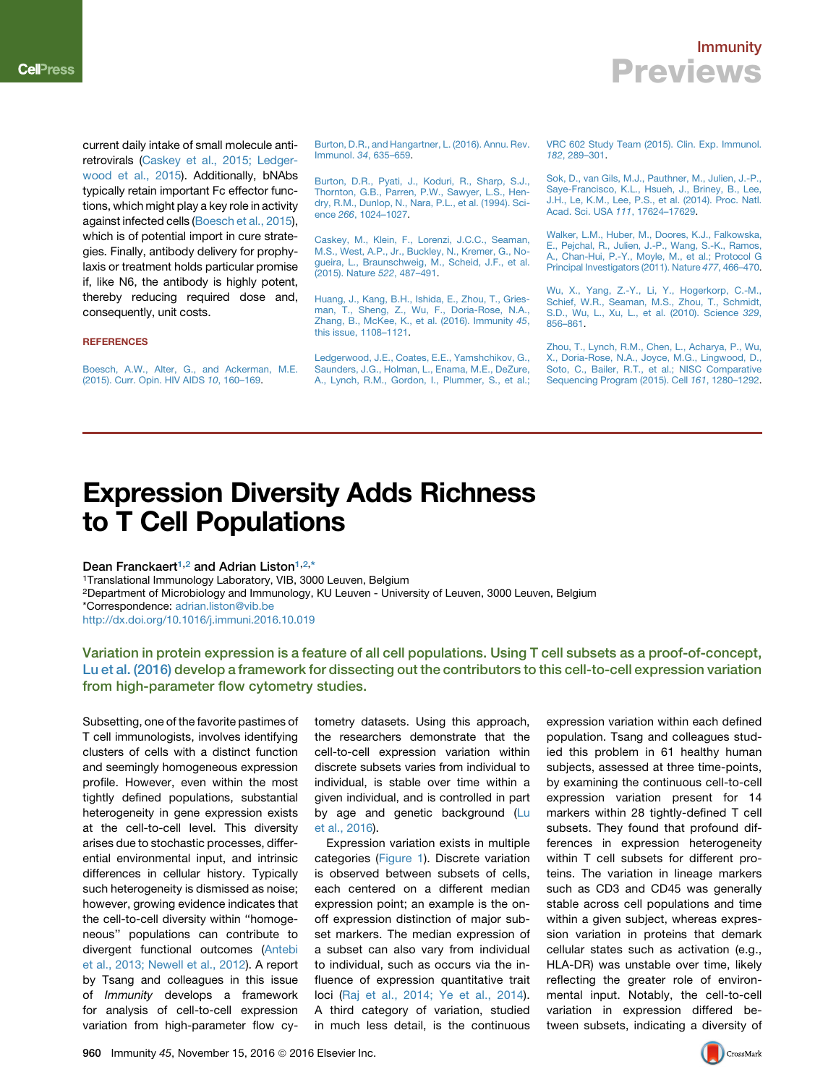### Immunity **Previews**

current daily intake of small molecule antiretrovirals ([Caskey et al., 2015; Ledger](#page-0-0)[wood et al., 2015\)](#page-0-0). Additionally, bNAbs typically retain important Fc effector functions, which might play a key role in activity against infected cells ([Boesch et al., 2015\)](#page-0-1), which is of potential import in cure strategies. Finally, antibody delivery for prophylaxis or treatment holds particular promise if, like N6, the antibody is highly potent, thereby reducing required dose and, consequently, unit costs.

#### **REFERENCES**

<span id="page-0-1"></span>[Boesch, A.W., Alter, G., and Ackerman, M.E.](http://refhub.elsevier.com/S1074-7613(16)30444-7/sref1) [\(2015\). Curr. Opin. HIV AIDS](http://refhub.elsevier.com/S1074-7613(16)30444-7/sref1) *10*, 160–169.

[Burton, D.R., and Hangartner, L. \(2016\). Annu. Rev.](http://refhub.elsevier.com/S1074-7613(16)30444-7/sref2) Immunol. *34*[, 635–659](http://refhub.elsevier.com/S1074-7613(16)30444-7/sref2).

[Burton, D.R., Pyati, J., Koduri, R., Sharp, S.J.,](http://refhub.elsevier.com/S1074-7613(16)30444-7/sref3) [Thornton, G.B., Parren, P.W., Sawyer, L.S., Hen](http://refhub.elsevier.com/S1074-7613(16)30444-7/sref3)[dry, R.M., Dunlop, N., Nara, P.L., et al. \(1994\). Sci](http://refhub.elsevier.com/S1074-7613(16)30444-7/sref3)ence *266*[, 1024–1027](http://refhub.elsevier.com/S1074-7613(16)30444-7/sref3).

<span id="page-0-0"></span>[Caskey, M., Klein, F., Lorenzi, J.C.C., Seaman,](http://refhub.elsevier.com/S1074-7613(16)30444-7/sref4) [M.S., West, A.P., Jr., Buckley, N., Kremer, G., No](http://refhub.elsevier.com/S1074-7613(16)30444-7/sref4)[gueira, L., Braunschweig, M., Scheid, J.F., et al.](http://refhub.elsevier.com/S1074-7613(16)30444-7/sref4) [\(2015\). Nature](http://refhub.elsevier.com/S1074-7613(16)30444-7/sref4) *522*, 487–491.

[Huang, J., Kang, B.H., Ishida, E., Zhou, T., Gries](http://refhub.elsevier.com/S1074-7613(16)30444-7/sref5)[man, T., Sheng, Z., Wu, F., Doria-Rose, N.A.,](http://refhub.elsevier.com/S1074-7613(16)30444-7/sref5) [Zhang, B., McKee, K., et al. \(2016\). Immunity](http://refhub.elsevier.com/S1074-7613(16)30444-7/sref5) *45*, [this issue, 1108–1121.](http://refhub.elsevier.com/S1074-7613(16)30444-7/sref5)

[Ledgerwood, J.E., Coates, E.E., Yamshchikov, G.,](http://refhub.elsevier.com/S1074-7613(16)30444-7/sref6) [Saunders, J.G., Holman, L., Enama, M.E., DeZure,](http://refhub.elsevier.com/S1074-7613(16)30444-7/sref6) [A., Lynch, R.M., Gordon, I., Plummer, S., et al.;](http://refhub.elsevier.com/S1074-7613(16)30444-7/sref6) [VRC 602 Study Team \(2015\). Clin. Exp. Immunol.](http://refhub.elsevier.com/S1074-7613(16)30444-7/sref6) *182*[, 289–301.](http://refhub.elsevier.com/S1074-7613(16)30444-7/sref6)

[Sok, D., van Gils, M.J., Pauthner, M., Julien, J.-P.,](http://refhub.elsevier.com/S1074-7613(16)30444-7/sref7) [Saye-Francisco, K.L., Hsueh, J., Briney, B., Lee,](http://refhub.elsevier.com/S1074-7613(16)30444-7/sref7) [J.H., Le, K.M., Lee, P.S., et al. \(2014\). Proc. Natl.](http://refhub.elsevier.com/S1074-7613(16)30444-7/sref7) [Acad. Sci. USA](http://refhub.elsevier.com/S1074-7613(16)30444-7/sref7) *111*, 17624–17629.

[Walker, L.M., Huber, M., Doores, K.J., Falkowska,](http://refhub.elsevier.com/S1074-7613(16)30444-7/sref8) [E., Pejchal, R., Julien, J.-P., Wang, S.-K., Ramos,](http://refhub.elsevier.com/S1074-7613(16)30444-7/sref8) [A., Chan-Hui, P.-Y., Moyle, M., et al.; Protocol G](http://refhub.elsevier.com/S1074-7613(16)30444-7/sref8) [Principal Investigators \(2011\). Nature](http://refhub.elsevier.com/S1074-7613(16)30444-7/sref8) *477*, 466–470.

[Wu, X., Yang, Z.-Y., Li, Y., Hogerkorp, C.-M.,](http://refhub.elsevier.com/S1074-7613(16)30444-7/sref9) [Schief, W.R., Seaman, M.S., Zhou, T., Schmidt,](http://refhub.elsevier.com/S1074-7613(16)30444-7/sref9) [S.D., Wu, L., Xu, L., et al. \(2010\). Science](http://refhub.elsevier.com/S1074-7613(16)30444-7/sref9) *329*, [856–861](http://refhub.elsevier.com/S1074-7613(16)30444-7/sref9).

[Zhou, T., Lynch, R.M., Chen, L., Acharya, P., Wu,](http://refhub.elsevier.com/S1074-7613(16)30444-7/sref10) [X., Doria-Rose, N.A., Joyce, M.G., Lingwood, D.,](http://refhub.elsevier.com/S1074-7613(16)30444-7/sref10) [Soto, C., Bailer, R.T., et al.; NISC Comparative](http://refhub.elsevier.com/S1074-7613(16)30444-7/sref10) [Sequencing Program \(2015\). Cell](http://refhub.elsevier.com/S1074-7613(16)30444-7/sref10) *161*, 1280–1292.

# Expression Diversity Adds Richness to T Cell Populations

Dean Franckaert<sup>[1,](#page-0-2)[2](#page-0-3)</sup> and Adrian Liston<sup>1,2,[\\*](#page-0-4)</sup>

<span id="page-0-2"></span>1Translational Immunology Laboratory, VIB, 3000 Leuven, Belgium

<span id="page-0-4"></span><span id="page-0-3"></span>2Department of Microbiology and Immunology, KU Leuven - University of Leuven, 3000 Leuven, Belgium \*Correspondence: [adrian.liston@vib.be](mailto:adrian.liston@vib.be) <http://dx.doi.org/10.1016/j.immuni.2016.10.019>

Variation in protein expression is a feature of all cell populations. Using T cell subsets as a proof-of-concept, [Lu et al. \(2016\)](#page-2-0) develop a framework for dissecting out the contributors to this cell-to-cell expression variation from high-parameter flow cytometry studies.

Subsetting, one of the favorite pastimes of T cell immunologists, involves identifying clusters of cells with a distinct function and seemingly homogeneous expression profile. However, even within the most tightly defined populations, substantial heterogeneity in gene expression exists at the cell-to-cell level. This diversity arises due to stochastic processes, differential environmental input, and intrinsic differences in cellular history. Typically such heterogeneity is dismissed as noise; however, growing evidence indicates that the cell-to-cell diversity within ''homogeneous'' populations can contribute to divergent functional outcomes ([Antebi](#page-2-1) [et al., 2013; Newell et al., 2012](#page-2-1)). A report by Tsang and colleagues in this issue of *Immunity* develops a framework for analysis of cell-to-cell expression variation from high-parameter flow cytometry datasets. Using this approach, the researchers demonstrate that the cell-to-cell expression variation within discrete subsets varies from individual to individual, is stable over time within a given individual, and is controlled in part by age and genetic background [\(Lu](#page-2-0) [et al., 2016](#page-2-0)).

Expression variation exists in multiple categories [\(Figure 1\)](#page-1-0). Discrete variation is observed between subsets of cells, each centered on a different median expression point; an example is the onoff expression distinction of major subset markers. The median expression of a subset can also vary from individual to individual, such as occurs via the influence of expression quantitative trait loci [\(Raj et al., 2014; Ye et al., 2014\)](#page-2-2). A third category of variation, studied in much less detail, is the continuous expression variation within each defined population. Tsang and colleagues studied this problem in 61 healthy human subjects, assessed at three time-points, by examining the continuous cell-to-cell expression variation present for 14 markers within 28 tightly-defined T cell subsets. They found that profound differences in expression heterogeneity within T cell subsets for different proteins. The variation in lineage markers such as CD3 and CD45 was generally stable across cell populations and time within a given subject, whereas expression variation in proteins that demark cellular states such as activation (e.g., HLA-DR) was unstable over time, likely reflecting the greater role of environmental input. Notably, the cell-to-cell variation in expression differed between subsets, indicating a diversity of

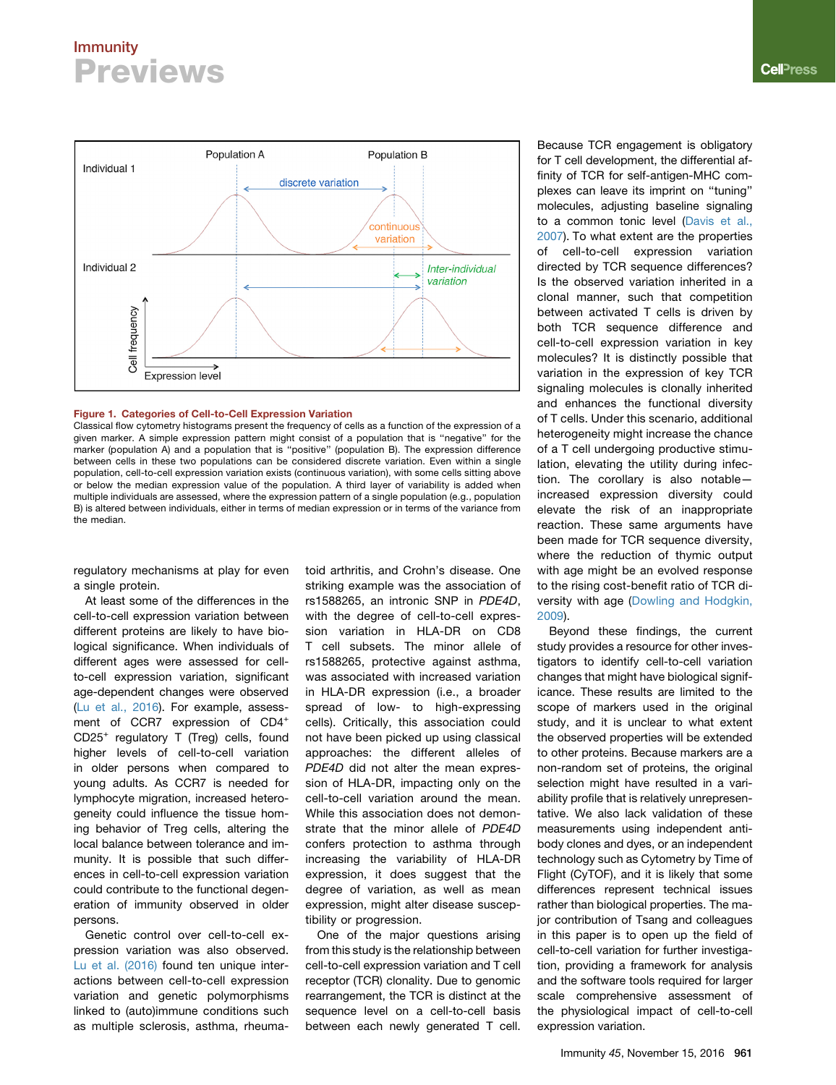## Immunity **Previews**

<span id="page-1-0"></span>

#### Figure 1. Categories of Cell-to-Cell Expression Variation

Classical flow cytometry histograms present the frequency of cells as a function of the expression of a given marker. A simple expression pattern might consist of a population that is ''negative'' for the marker (population A) and a population that is ''positive'' (population B). The expression difference between cells in these two populations can be considered discrete variation. Even within a single population, cell-to-cell expression variation exists (continuous variation), with some cells sitting above or below the median expression value of the population. A third layer of variability is added when multiple individuals are assessed, where the expression pattern of a single population (e.g., population B) is altered between individuals, either in terms of median expression or in terms of the variance from the median.

regulatory mechanisms at play for even a single protein.

At least some of the differences in the cell-to-cell expression variation between different proteins are likely to have biological significance. When individuals of different ages were assessed for cellto-cell expression variation, significant age-dependent changes were observed [\(Lu et al., 2016\)](#page-2-0). For example, assessment of CCR7 expression of CD4<sup>+</sup> CD25<sup>+</sup> regulatory T (Treg) cells, found higher levels of cell-to-cell variation in older persons when compared to young adults. As CCR7 is needed for lymphocyte migration, increased heterogeneity could influence the tissue homing behavior of Treg cells, altering the local balance between tolerance and immunity. It is possible that such differences in cell-to-cell expression variation could contribute to the functional degeneration of immunity observed in older persons.

Genetic control over cell-to-cell expression variation was also observed. [Lu et al. \(2016\)](#page-2-0) found ten unique interactions between cell-to-cell expression variation and genetic polymorphisms linked to (auto)immune conditions such as multiple sclerosis, asthma, rheumatoid arthritis, and Crohn's disease. One striking example was the association of rs1588265, an intronic SNP in *PDE4D*, with the degree of cell-to-cell expression variation in HLA-DR on CD8 T cell subsets. The minor allele of rs1588265, protective against asthma, was associated with increased variation in HLA-DR expression (i.e., a broader spread of low- to high-expressing cells). Critically, this association could not have been picked up using classical approaches: the different alleles of *PDE4D* did not alter the mean expression of HLA-DR, impacting only on the cell-to-cell variation around the mean. While this association does not demonstrate that the minor allele of *PDE4D* confers protection to asthma through increasing the variability of HLA-DR expression, it does suggest that the degree of variation, as well as mean expression, might alter disease susceptibility or progression.

One of the major questions arising from this study is the relationship between cell-to-cell expression variation and T cell receptor (TCR) clonality. Due to genomic rearrangement, the TCR is distinct at the sequence level on a cell-to-cell basis between each newly generated T cell.

Because TCR engagement is obligatory for T cell development, the differential affinity of TCR for self-antigen-MHC complexes can leave its imprint on ''tuning'' molecules, adjusting baseline signaling to a common tonic level ([Davis et al.,](#page-2-3) [2007\)](#page-2-3). To what extent are the properties of cell-to-cell expression variation directed by TCR sequence differences? Is the observed variation inherited in a clonal manner, such that competition between activated T cells is driven by both TCR sequence difference and cell-to-cell expression variation in key molecules? It is distinctly possible that variation in the expression of key TCR signaling molecules is clonally inherited and enhances the functional diversity of T cells. Under this scenario, additional heterogeneity might increase the chance of a T cell undergoing productive stimulation, elevating the utility during infection. The corollary is also notable increased expression diversity could elevate the risk of an inappropriate reaction. These same arguments have been made for TCR sequence diversity, where the reduction of thymic output with age might be an evolved response to the rising cost-benefit ratio of TCR diversity with age ([Dowling and Hodgkin,](#page-2-4) [2009\)](#page-2-4).

Beyond these findings, the current study provides a resource for other investigators to identify cell-to-cell variation changes that might have biological significance. These results are limited to the scope of markers used in the original study, and it is unclear to what extent the observed properties will be extended to other proteins. Because markers are a non-random set of proteins, the original selection might have resulted in a variability profile that is relatively unrepresentative. We also lack validation of these measurements using independent antibody clones and dyes, or an independent technology such as Cytometry by Time of Flight (CyTOF), and it is likely that some differences represent technical issues rather than biological properties. The major contribution of Tsang and colleagues in this paper is to open up the field of cell-to-cell variation for further investigation, providing a framework for analysis and the software tools required for larger scale comprehensive assessment of the physiological impact of cell-to-cell expression variation.